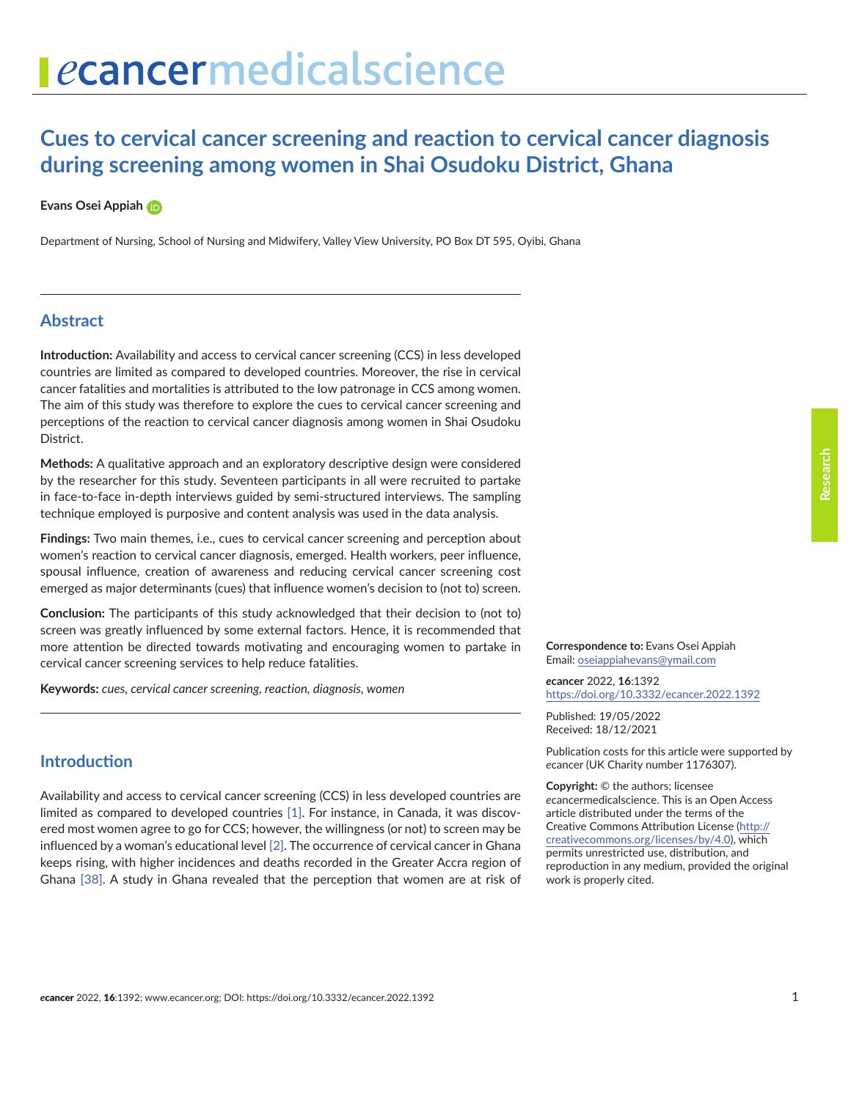# ecancermedicalscience

# **Cues to cervical cancer screening and reaction to cervical cancer diagnosis during screening among women in Shai Osudoku District, Ghana**

#### **Evans Osei Appiah**

Department of Nursing, School of Nursing and Midwifery, Valley View University, PO Box DT 595, Oyibi, Ghana

# **Abstract**

**Introduction:** Availability and access to cervical cancer screening (CCS) in less developed countries are limited as compared to developed countries. Moreover, the rise in cervical cancer fatalities and mortalities is attributed to the low patronage in CCS among women. The aim of this study was therefore to explore the cues to cervical cancer screening and perceptions of the reaction to cervical cancer diagnosis among women in Shai Osudoku District.

**Methods:** A qualitative approach and an exploratory descriptive design were considered by the researcher for this study. Seventeen participants in all were recruited to partake in face-to-face in-depth interviews guided by semi-structured interviews. The sampling technique employed is purposive and content analysis was used in the data analysis.

**Findings:** Two main themes, i.e., cues to cervical cancer screening and perception about women's reaction to cervical cancer diagnosis, emerged. Health workers, peer influence, spousal influence, creation of awareness and reducing cervical cancer screening cost emerged as major determinants (cues) that influence women's decision to (not to) screen.

**Conclusion:** The participants of this study acknowledged that their decision to (not to) screen was greatly influenced by some external factors. Hence, it is recommended that more attention be directed towards motivating and encouraging women to partake in cervical cancer screening services to help reduce fatalities.

**Keywords:** *cues, cervical cancer screening, reaction, diagnosis, women*

**Correspondence to:** Evans Osei Appiah Email: [oseiappiahevans@ymail.com](mailto:oseiappiahevans@ymail.com)

*e***cancer** 2022, **16**:1392 <https://doi.org/10.3332/ecancer.2022.1392>

Published: 19/05/2022 Received: 18/12/2021

Publication costs for this article were supported by *e*cancer (UK Charity number 1176307).

**Copyright:** © the authors; licensee *e*cancermedicalscience. This is an Open Access article distributed under the terms of the Creative Commons Attribution License (http:// creativecommons.org/licenses/by/4.0), which permits unrestricted use, distribution, and reproduction in any medium, provided the original work is properly cited.

Availability and access to cervical cancer screening (CCS) in less developed countries are limited as compared to developed countries [\[1\]](#page-10-0). For instance, in Canada, it was discovered most women agree to go for CCS; however, the willingness (or not) to screen may be influenced by a woman's educational level [\[2\]](#page-10-0). The occurrence of cervical cancer in Ghana keeps rising, with higher incidences and deaths recorded in the Greater Accra region of Ghana [\[38\].](#page-12-0) A study in Ghana revealed that the perception that women are at risk of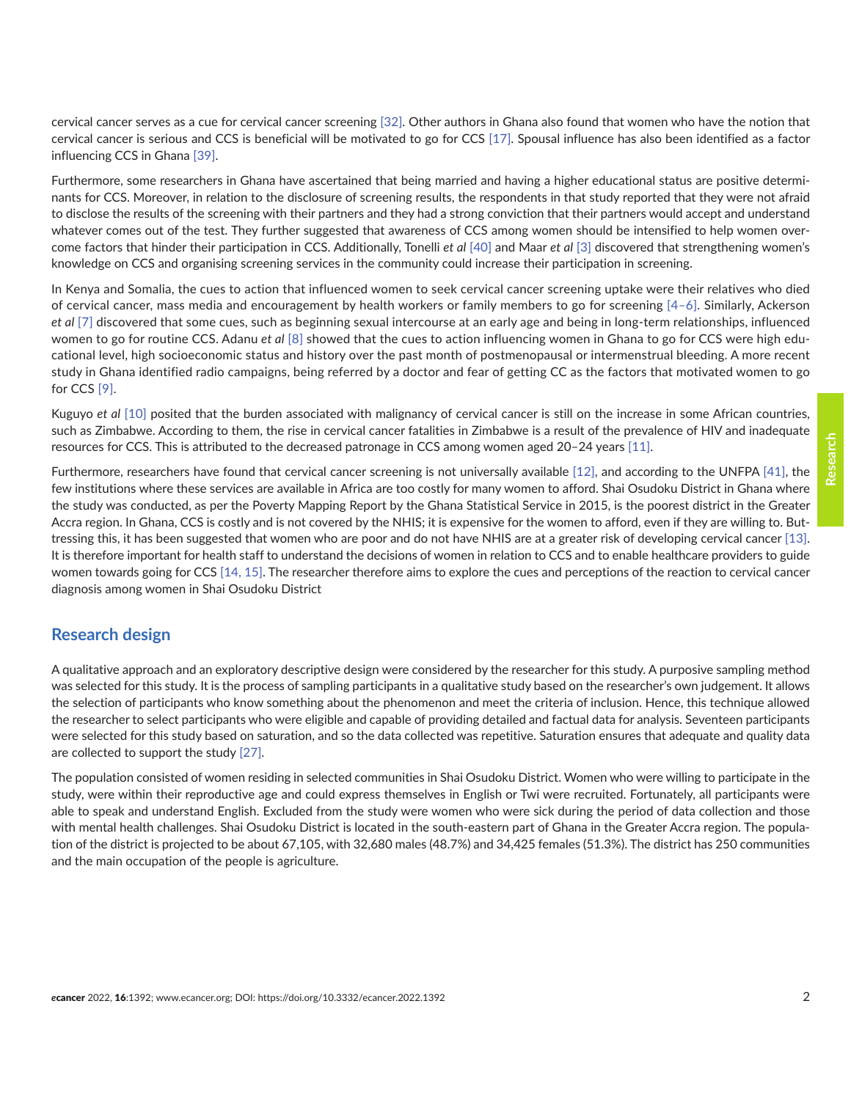cervical cancer serves as a cue for cervical cancer screening [\[32\].](#page-12-0) Other authors in Ghana also found that women who have the notion that cervical cancer is serious and CCS is beneficial will be motivated to go for CCS [\[17\].](#page-11-0) Spousal influence has also been identified as a factor influencing CCS in Ghana [\[39\].](#page-12-0)

Furthermore, some researchers in Ghana have ascertained that being married and having a higher educational status are positive determinants for CCS. Moreover, in relation to the disclosure of screening results, the respondents in that study reported that they were not afraid to disclose the results of the screening with their partners and they had a strong conviction that their partners would accept and understand whatever comes out of the test. They further suggested that awareness of CCS among women should be intensified to help women overcome factors that hinder their participation in CCS. Additionally, Tonelli *et al* [\[40\]](#page-12-0) and Maar *et al* [\[3\]](#page-10-0) discovered that strengthening women's knowledge on CCS and organising screening services in the community could increase their participation in screening.

In Kenya and Somalia, the cues to action that influenced women to seek cervical cancer screening uptake were their relatives who died of cervical cancer, mass media and encouragement by health workers or family members to go for screening [\[4–6\].](#page-10-0) Similarly, Ackerson *et al* [\[7\]](#page-10-0) discovered that some cues, such as beginning sexual intercourse at an early age and being in long-term relationships, influenced women to go for routine CCS. Adanu *et al* [\[8\]](#page-10-0) showed that the cues to action influencing women in Ghana to go for CCS were high educational level, high socioeconomic status and history over the past month of postmenopausal or intermenstrual bleeding. A more recent study in Ghana identified radio campaigns, being referred by a doctor and fear of getting CC as the factors that motivated women to go for CCS [\[9\].](#page-11-0)

Kuguyo *et al* [\[10\]](#page-11-0) posited that the burden associated with malignancy of cervical cancer is still on the increase in some African countries, such as Zimbabwe. According to them, the rise in cervical cancer fatalities in Zimbabwe is a result of the prevalence of HIV and inadequate resources for CCS. This is attributed to the decreased patronage in CCS among women aged 20–24 years [\[11\]](#page-11-0).

Furthermore, researchers have found that cervical cancer screening is not universally available [\[12\]](#page-11-0), and according to the UNFPA [\[41\]](#page-12-0), the few institutions where these services are available in Africa are too costly for many women to afford. Shai Osudoku District in Ghana where the study was conducted, as per the Poverty Mapping Report by the Ghana Statistical Service in 2015, is the poorest district in the Greater Accra region. In Ghana, CCS is costly and is not covered by the NHIS; it is expensive for the women to afford, even if they are willing to. Buttressing this, it has been suggested that women who are poor and do not have NHIS are at a greater risk of developing cervical cancer [\[13\].](#page-11-0) It is therefore important for health staff to understand the decisions of women in relation to CCS and to enable healthcare providers to guide women towards going for CCS [\[14, 15\]](#page-11-0). The researcher therefore aims to explore the cues and perceptions of the reaction to cervical cancer diagnosis among women in Shai Osudoku District

# **Research design**

A qualitative approach and an exploratory descriptive design were considered by the researcher for this study. A purposive sampling method was selected for this study. It is the process of sampling participants in a qualitative study based on the researcher's own judgement. It allows the selection of participants who know something about the phenomenon and meet the criteria of inclusion. Hence, this technique allowed the researcher to select participants who were eligible and capable of providing detailed and factual data for analysis. Seventeen participants were selected for this study based on saturation, and so the data collected was repetitive. Saturation ensures that adequate and quality data are collected to support the study [\[27\]](#page-12-0).

The population consisted of women residing in selected communities in Shai Osudoku District. Women who were willing to participate in the study, were within their reproductive age and could express themselves in English or Twi were recruited. Fortunately, all participants were able to speak and understand English. Excluded from the study were women who were sick during the period of data collection and those with mental health challenges. Shai Osudoku District is located in the south-eastern part of Ghana in the Greater Accra region. The population of the district is projected to be about 67,105, with 32,680 males (48.7%) and 34,425 females (51.3%). The district has 250 communities and the main occupation of the people is agriculture.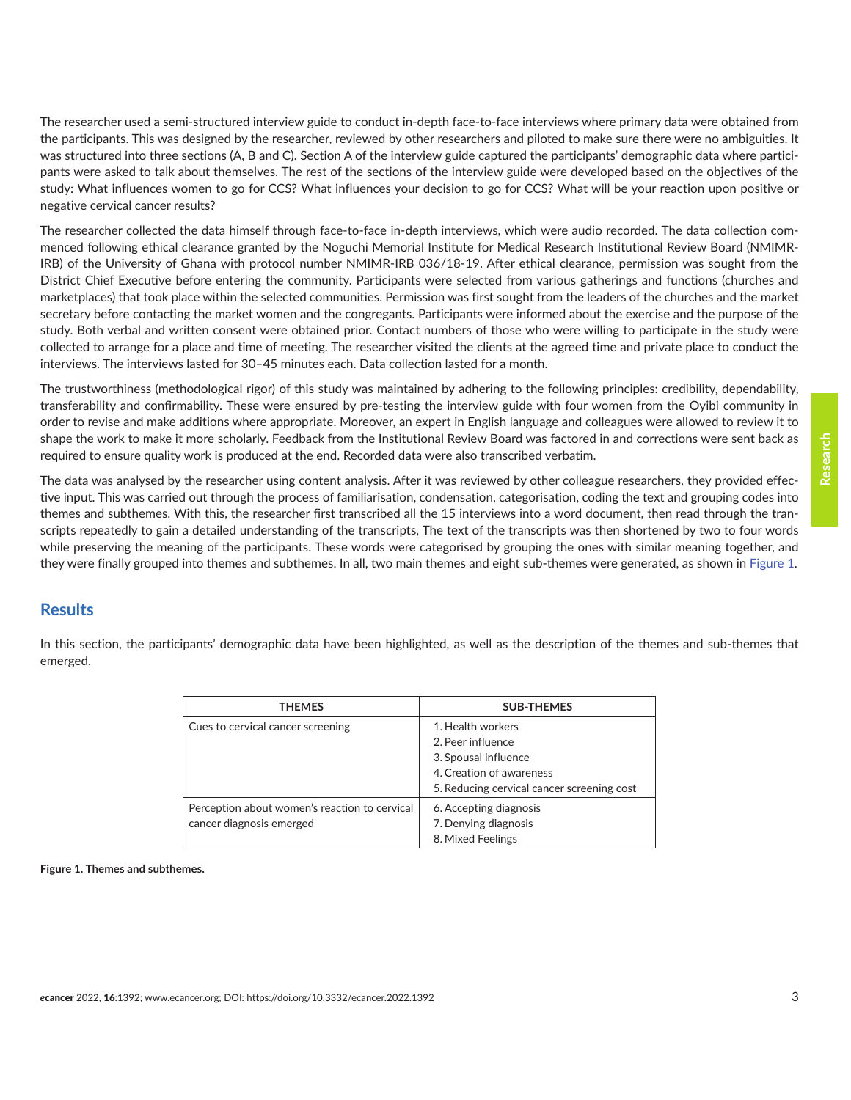<span id="page-2-0"></span>The researcher used a semi-structured interview guide to conduct in-depth face-to-face interviews where primary data were obtained from the participants. This was designed by the researcher, reviewed by other researchers and piloted to make sure there were no ambiguities. It was structured into three sections (A, B and C). Section A of the interview guide captured the participants' demographic data where participants were asked to talk about themselves. The rest of the sections of the interview guide were developed based on the objectives of the study: What influences women to go for CCS? What influences your decision to go for CCS? What will be your reaction upon positive or negative cervical cancer results?

The researcher collected the data himself through face-to-face in-depth interviews, which were audio recorded. The data collection commenced following ethical clearance granted by the Noguchi Memorial Institute for Medical Research Institutional Review Board (NMIMR-IRB) of the University of Ghana with protocol number NMIMR-IRB 036/18-19. After ethical clearance, permission was sought from the District Chief Executive before entering the community. Participants were selected from various gatherings and functions (churches and marketplaces) that took place within the selected communities. Permission was first sought from the leaders of the churches and the market secretary before contacting the market women and the congregants. Participants were informed about the exercise and the purpose of the study. Both verbal and written consent were obtained prior. Contact numbers of those who were willing to participate in the study were collected to arrange for a place and time of meeting. The researcher visited the clients at the agreed time and private place to conduct the interviews. The interviews lasted for 30–45 minutes each. Data collection lasted for a month.

The trustworthiness (methodological rigor) of this study was maintained by adhering to the following principles: credibility, dependability, transferability and confirmability. These were ensured by pre-testing the interview guide with four women from the Oyibi community in order to revise and make additions where appropriate. Moreover, an expert in English language and colleagues were allowed to review it to shape the work to make it more scholarly. Feedback from the Institutional Review Board was factored in and corrections were sent back as required to ensure quality work is produced at the end. Recorded data were also transcribed verbatim.

The data was analysed by the researcher using content analysis. After it was reviewed by other colleague researchers, they provided effective input. This was carried out through the process of familiarisation, condensation, categorisation, coding the text and grouping codes into themes and subthemes. With this, the researcher first transcribed all the 15 interviews into a word document, then read through the transcripts repeatedly to gain a detailed understanding of the transcripts, The text of the transcripts was then shortened by two to four words while preserving the meaning of the participants. These words were categorised by grouping the ones with similar meaning together, and they were finally grouped into themes and subthemes. In all, two main themes and eight sub-themes were generated, as shown in Figure 1.

# **Results**

In this section, the participants' demographic data have been highlighted, as well as the description of the themes and sub-themes that emerged.

| <b>THEMES</b>                                                             | <b>SUB-THEMES</b>                                                                                                                        |  |  |
|---------------------------------------------------------------------------|------------------------------------------------------------------------------------------------------------------------------------------|--|--|
| Cues to cervical cancer screening                                         | 1. Health workers<br>2. Peer influence<br>3. Spousal influence<br>4. Creation of awareness<br>5. Reducing cervical cancer screening cost |  |  |
| Perception about women's reaction to cervical<br>cancer diagnosis emerged | 6. Accepting diagnosis<br>7. Denying diagnosis<br>8. Mixed Feelings                                                                      |  |  |

**Figure 1. Themes and subthemes.**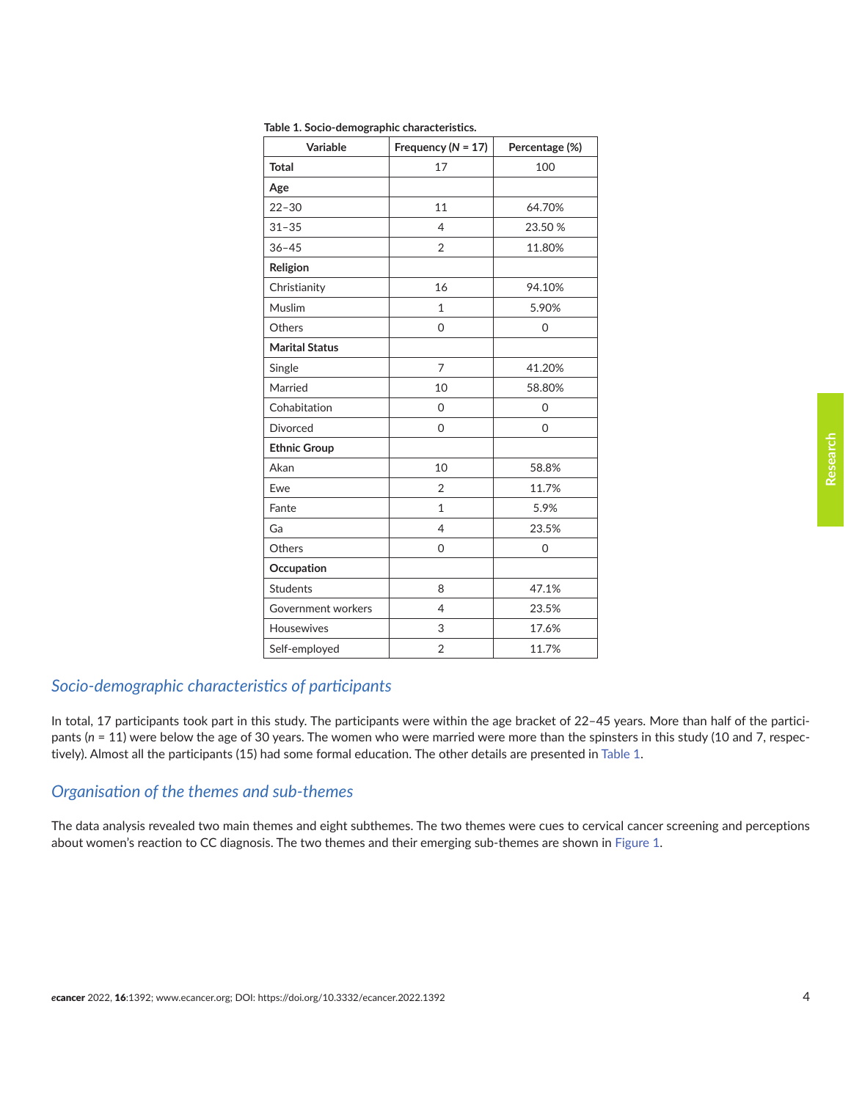| Variable              | Frequency ( $N = 17$ ) | Percentage (%) |  |
|-----------------------|------------------------|----------------|--|
| <b>Total</b>          | 17                     | 100            |  |
| Age                   |                        |                |  |
| $22 - 30$             | 11                     | 64.70%         |  |
| $31 - 35$             | $\overline{4}$         | 23.50 %        |  |
| $36 - 45$             | $\overline{2}$         | 11.80%         |  |
| Religion              |                        |                |  |
| Christianity          | 16                     | 94.10%         |  |
| Muslim                | $\mathbf{1}$           | 5.90%          |  |
| Others                | 0                      | 0              |  |
| <b>Marital Status</b> |                        |                |  |
| Single                | 7                      | 41.20%         |  |
| Married               | 10                     | 58.80%         |  |
| Cohabitation          | 0                      | 0              |  |
| <b>Divorced</b>       | 0                      | 0              |  |
| <b>Ethnic Group</b>   |                        |                |  |
| Akan                  | 10                     | 58.8%          |  |
| Ewe                   | 2                      | 11.7%          |  |
| Fante                 | $\mathbf{1}$           | 5.9%           |  |
| Ga                    | $\overline{4}$         | 23.5%          |  |
| Others                | 0                      | 0              |  |
| Occupation            |                        |                |  |
| <b>Students</b>       | 8                      | 47.1%          |  |
| Government workers    | 4                      | 23.5%          |  |
| <b>Housewives</b>     | 3                      | 17.6%          |  |
| Self-employed         | $\overline{2}$         | 11.7%          |  |

**Table 1. Socio-demographic characteristics.**

# *Socio-demographic characteristics of participants*

In total, 17 participants took part in this study. The participants were within the age bracket of 22–45 years. More than half of the participants (*n* = 11) were below the age of 30 years. The women who were married were more than the spinsters in this study (10 and 7, respectively). Almost all the participants (15) had some formal education. The other details are presented in Table 1.

#### *Organisation of the themes and sub-themes*

The data analysis revealed two main themes and eight subthemes. The two themes were cues to cervical cancer screening and perceptions about women's reaction to CC diagnosis. The two themes and their emerging sub-themes are shown in [Figure 1.](#page-2-0)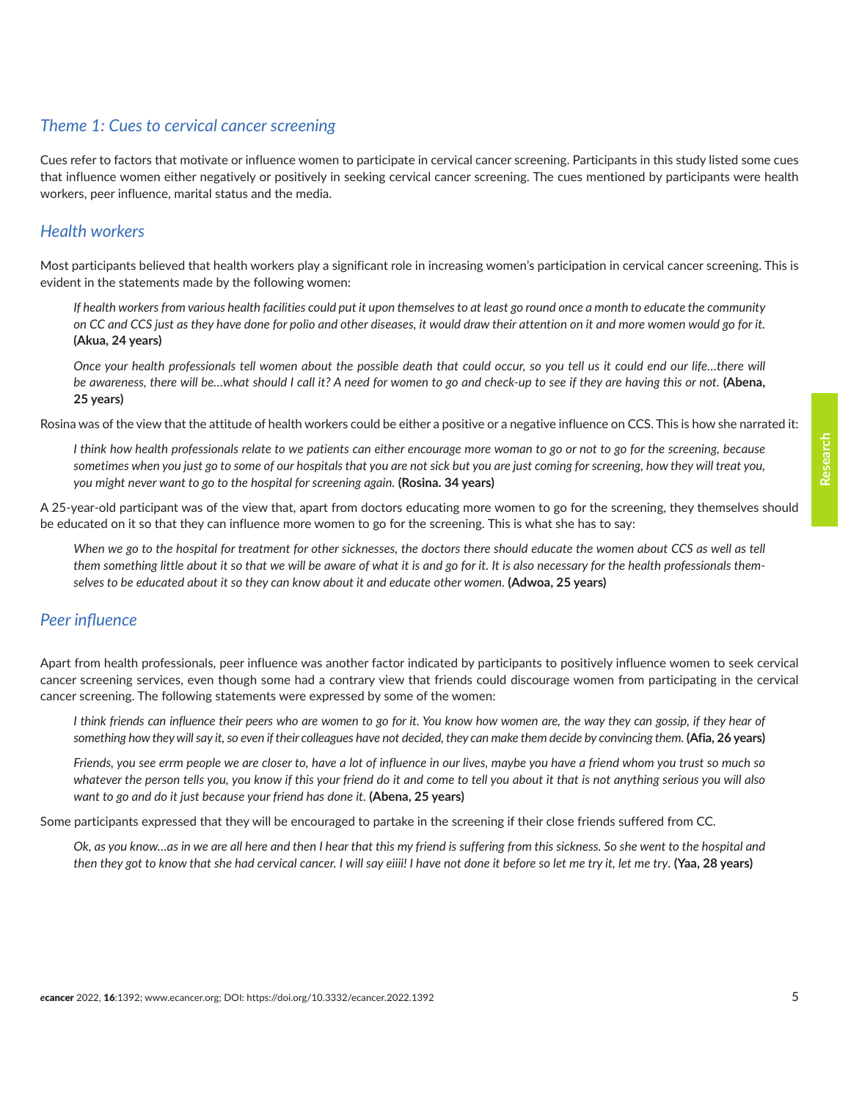# *Theme 1: Cues to cervical cancer screening*

Cues refer to factors that motivate or influence women to participate in cervical cancer screening. Participants in this study listed some cues that influence women either negatively or positively in seeking cervical cancer screening. The cues mentioned by participants were health workers, peer influence, marital status and the media.

## *Health workers*

Most participants believed that health workers play a significant role in increasing women's participation in cervical cancer screening. This is evident in the statements made by the following women:

*If health workers from various health facilities could put it upon themselves to at least go round once a month to educate the community on CC and CCS just as they have done for polio and other diseases, it would draw their attention on it and more women would go for it.*  **(Akua, 24 years)**

*Once your health professionals tell women about the possible death that could occur, so you tell us it could end our life…there will be awareness, there will be…what should I call it? A need for women to go and check-up to see if they are having this or not.* **(Abena, 25 years)**

Rosina was of the view that the attitude of health workers could be either a positive or a negative influence on CCS. This is how she narrated it:

*I think how health professionals relate to we patients can either encourage more woman to go or not to go for the screening, because sometimes when you just go to some of our hospitals that you are not sick but you are just coming for screening, how they will treat you, you might never want to go to the hospital for screening again.* **(Rosina. 34 years)**

A 25-year-old participant was of the view that, apart from doctors educating more women to go for the screening, they themselves should be educated on it so that they can influence more women to go for the screening. This is what she has to say:

When we go to the hospital for treatment for other sicknesses, the doctors there should educate the women about CCS as well as tell *them something little about it so that we will be aware of what it is and go for it. It is also necessary for the health professionals themselves to be educated about it so they can know about it and educate other women.* **(Adwoa, 25 years)**

#### *Peer influence*

Apart from health professionals, peer influence was another factor indicated by participants to positively influence women to seek cervical cancer screening services, even though some had a contrary view that friends could discourage women from participating in the cervical cancer screening. The following statements were expressed by some of the women:

*I think friends can influence their peers who are women to go for it. You know how women are, the way they can gossip, if they hear of*  something how they will say it, so even if their colleagues have not decided, they can make them decide by convincing them. (Afia, 26 years)

*Friends, you see errm people we are closer to, have a lot of influence in our lives, maybe you have a friend whom you trust so much so whatever the person tells you, you know if this your friend do it and come to tell you about it that is not anything serious you will also want to go and do it just because your friend has done it.* **(Abena, 25 years)**

Some participants expressed that they will be encouraged to partake in the screening if their close friends suffered from CC.

*Ok, as you know…as in we are all here and then I hear that this my friend is suffering from this sickness. So she went to the hospital and then they got to know that she had cervical cancer. I will say eiiii! I have not done it before so let me try it, let me try*. **(Yaa, 28 years)**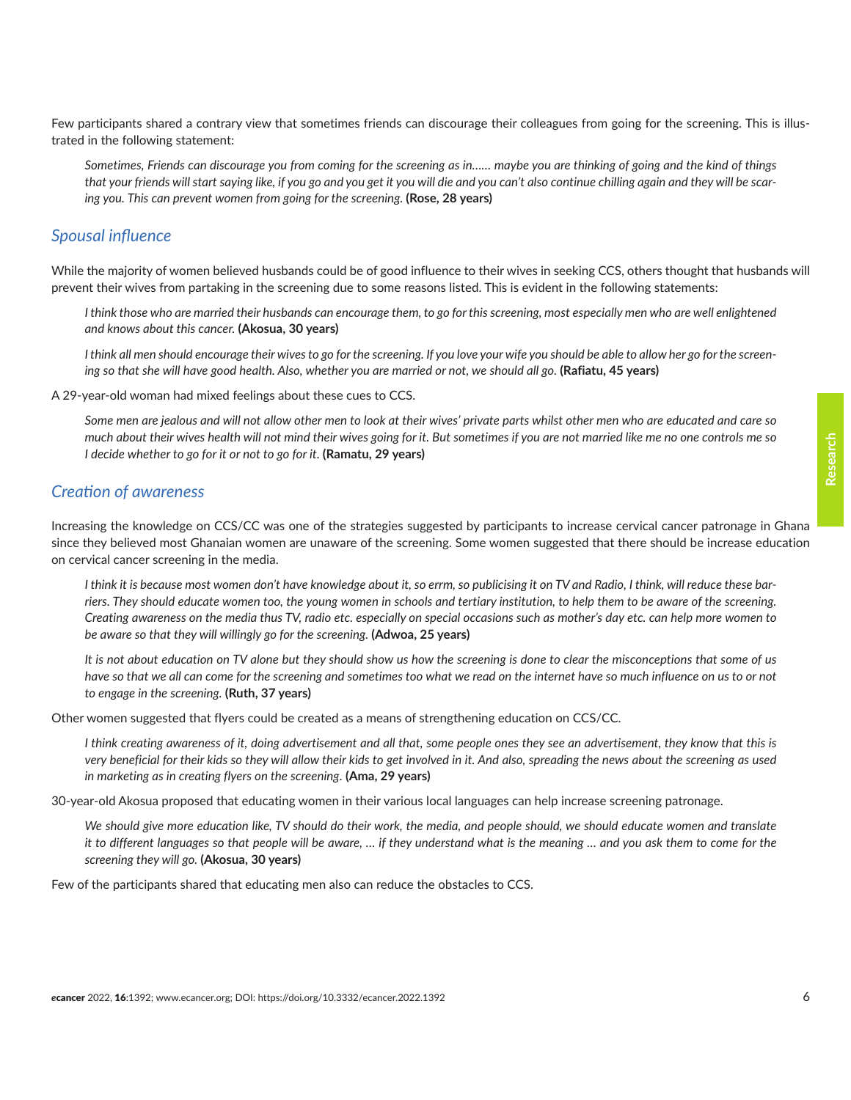Few participants shared a contrary view that sometimes friends can discourage their colleagues from going for the screening. This is illustrated in the following statement:

*Sometimes, Friends can discourage you from coming for the screening as in…… maybe you are thinking of going and the kind of things that your friends will start saying like, if you go and you get it you will die and you can't also continue chilling again and they will be scaring you. This can prevent women from going for the screening.* **(Rose, 28 years)**

#### *Spousal influence*

While the majority of women believed husbands could be of good influence to their wives in seeking CCS, others thought that husbands will prevent their wives from partaking in the screening due to some reasons listed. This is evident in the following statements:

I think those who are married their husbands can encourage them, to go for this screening, most especially men who are well enlightened *and knows about this cancer.* **(Akosua, 30 years)**

*I think all men should encourage their wives to go for the screening. If you love your wife you should be able to allow her go for the screening so that she will have good health. Also, whether you are married or not, we should all go.* **(Rafiatu, 45 years)**

A 29-year-old woman had mixed feelings about these cues to CCS.

*Some men are jealous and will not allow other men to look at their wives' private parts whilst other men who are educated and care so much about their wives health will not mind their wives going for it. But sometimes if you are not married like me no one controls me so I decide whether to go for it or not to go for it.* **(Ramatu, 29 years)**

#### *Creation of awareness*

Increasing the knowledge on CCS/CC was one of the strategies suggested by participants to increase cervical cancer patronage in Ghana since they believed most Ghanaian women are unaware of the screening. Some women suggested that there should be increase education on cervical cancer screening in the media.

*I think it is because most women don't have knowledge about it, so errm, so publicising it on TV and Radio, I think, will reduce these barriers. They should educate women too, the young women in schools and tertiary institution, to help them to be aware of the screening. Creating awareness on the media thus TV, radio etc. especially on special occasions such as mother's day etc. can help more women to be aware so that they will willingly go for the screening.* **(Adwoa, 25 years)**

*It is not about education on TV alone but they should show us how the screening is done to clear the misconceptions that some of us have so that we all can come for the screening and sometimes too what we read on the internet have so much influence on us to or not to engage in the screening.* **(Ruth, 37 years)**

Other women suggested that flyers could be created as a means of strengthening education on CCS/CC.

*I think creating awareness of it, doing advertisement and all that, some people ones they see an advertisement, they know that this is very beneficial for their kids so they will allow their kids to get involved in it. And also, spreading the news about the screening as used in marketing as in creating flyers on the screening*. **(Ama, 29 years)**

30-year-old Akosua proposed that educating women in their various local languages can help increase screening patronage.

*We should give more education like, TV should do their work, the media, and people should, we should educate women and translate it to different languages so that people will be aware, … if they understand what is the meaning … and you ask them to come for the screening they will go.* **(Akosua, 30 years)**

Few of the participants shared that educating men also can reduce the obstacles to CCS.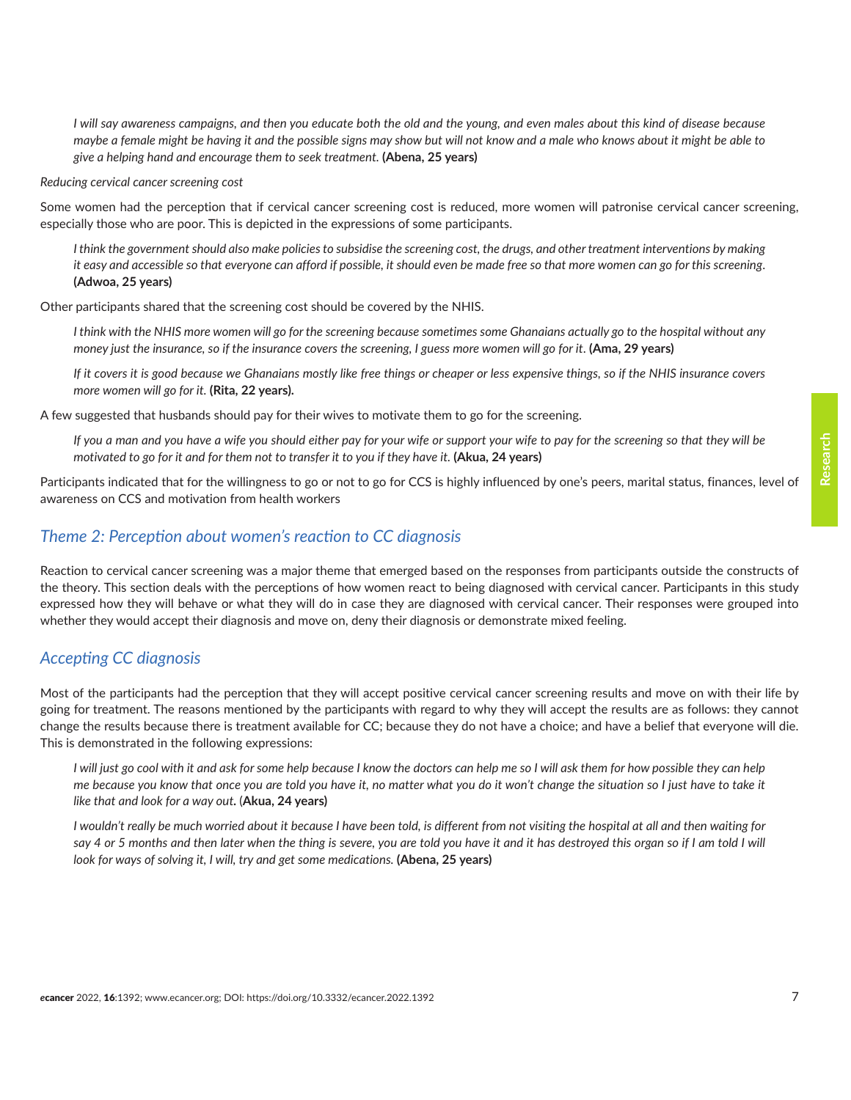*I will say awareness campaigns, and then you educate both the old and the young, and even males about this kind of disease because maybe a female might be having it and the possible signs may show but will not know and a male who knows about it might be able to give a helping hand and encourage them to seek treatment.* **(Abena, 25 years)**

*Reducing cervical cancer screening cost*

Some women had the perception that if cervical cancer screening cost is reduced, more women will patronise cervical cancer screening, especially those who are poor. This is depicted in the expressions of some participants.

*I think the government should also make policies to subsidise the screening cost, the drugs, and other treatment interventions by making it easy and accessible so that everyone can afford if possible, it should even be made free so that more women can go for this screening*. **(Adwoa, 25 years)**

Other participants shared that the screening cost should be covered by the NHIS.

*I think with the NHIS more women will go for the screening because sometimes some Ghanaians actually go to the hospital without any money just the insurance, so if the insurance covers the screening, I guess more women will go for it*. **(Ama, 29 years)**

*If it covers it is good because we Ghanaians mostly like free things or cheaper or less expensive things, so if the NHIS insurance covers more women will go for it.* **(Rita, 22 years).**

A few suggested that husbands should pay for their wives to motivate them to go for the screening.

*If you a man and you have a wife you should either pay for your wife or support your wife to pay for the screening so that they will be motivated to go for it and for them not to transfer it to you if they have it.* **(Akua, 24 years)**

Participants indicated that for the willingness to go or not to go for CCS is highly influenced by one's peers, marital status, finances, level of awareness on CCS and motivation from health workers

#### *Theme 2: Perception about women's reaction to CC diagnosis*

Reaction to cervical cancer screening was a major theme that emerged based on the responses from participants outside the constructs of the theory. This section deals with the perceptions of how women react to being diagnosed with cervical cancer. Participants in this study expressed how they will behave or what they will do in case they are diagnosed with cervical cancer. Their responses were grouped into whether they would accept their diagnosis and move on, deny their diagnosis or demonstrate mixed feeling.

#### *Accepting CC diagnosis*

Most of the participants had the perception that they will accept positive cervical cancer screening results and move on with their life by going for treatment. The reasons mentioned by the participants with regard to why they will accept the results are as follows: they cannot change the results because there is treatment available for CC; because they do not have a choice; and have a belief that everyone will die. This is demonstrated in the following expressions:

*I will just go cool with it and ask for some help because I know the doctors can help me so I will ask them for how possible they can help me because you know that once you are told you have it, no matter what you do it won't change the situation so I just have to take it like that and look for a way out.* (**Akua, 24 years)**

*I wouldn't really be much worried about it because I have been told, is different from not visiting the hospital at all and then waiting for say 4 or 5 months and then later when the thing is severe, you are told you have it and it has destroyed this organ so if I am told I will look for ways of solving it, I will, try and get some medications.* **(Abena, 25 years)**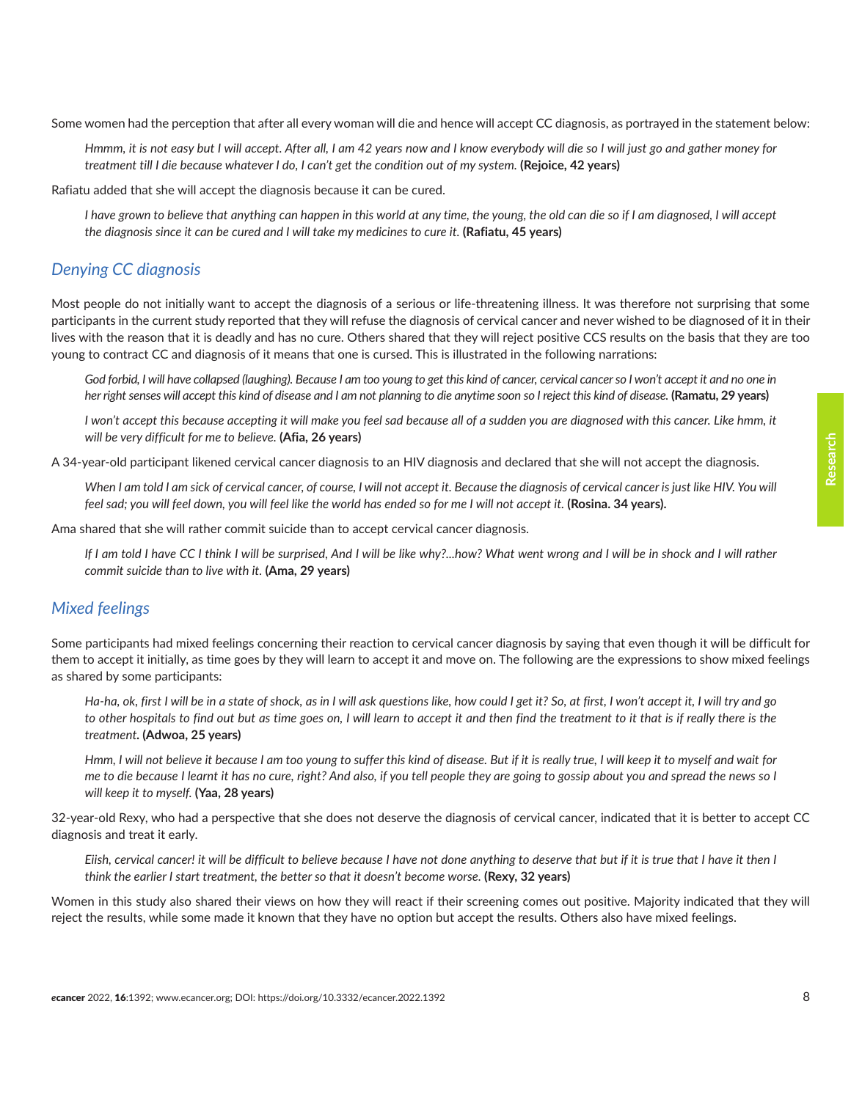Some women had the perception that after all every woman will die and hence will accept CC diagnosis, as portrayed in the statement below:

*Hmmm, it is not easy but I will accept. After all, I am 42 years now and I know everybody will die so I will just go and gather money for treatment till I die because whatever I do, I can't get the condition out of my system.* **(Rejoice, 42 years)**

Rafiatu added that she will accept the diagnosis because it can be cured.

*I have grown to believe that anything can happen in this world at any time, the young, the old can die so if I am diagnosed, I will accept the diagnosis since it can be cured and I will take my medicines to cure it.* **(Rafiatu, 45 years)**

# *Denying CC diagnosis*

Most people do not initially want to accept the diagnosis of a serious or life-threatening illness. It was therefore not surprising that some participants in the current study reported that they will refuse the diagnosis of cervical cancer and never wished to be diagnosed of it in their lives with the reason that it is deadly and has no cure. Others shared that they will reject positive CCS results on the basis that they are too young to contract CC and diagnosis of it means that one is cursed. This is illustrated in the following narrations:

God forbid, I will have collapsed (laughing). Because I am too young to get this kind of cancer, cervical cancer so I won't accept it and no one in *her right senses will accept this kind of disease and I am not planning to die anytime soon so I reject this kind of disease.* **(Ramatu, 29 years)**

*I* won't accept this because accepting it will make you feel sad because all of a sudden you are diagnosed with this cancer. Like hmm, it *will be very difficult for me to believe.* **(Afia, 26 years)**

A 34-year-old participant likened cervical cancer diagnosis to an HIV diagnosis and declared that she will not accept the diagnosis.

When I am told I am sick of cervical cancer, of course, I will not accept it. Because the diagnosis of cervical cancer is just like HIV. You will *feel sad; you will feel down, you will feel like the world has ended so for me I will not accept it.* **(Rosina. 34 years).**

Ama shared that she will rather commit suicide than to accept cervical cancer diagnosis.

*If I am told I have CC I think I will be surprised, And I will be like why?...how? What went wrong and I will be in shock and I will rather commit suicide than to live with it.* **(Ama, 29 years)**

# *Mixed feelings*

Some participants had mixed feelings concerning their reaction to cervical cancer diagnosis by saying that even though it will be difficult for them to accept it initially, as time goes by they will learn to accept it and move on. The following are the expressions to show mixed feelings as shared by some participants:

*Ha-ha, ok, first I will be in a state of shock, as in I will ask questions like, how could I get it? So, at first, I won't accept it, I will try and go to other hospitals to find out but as time goes on, I will learn to accept it and then find the treatment to it that is if really there is the treatment.* **(Adwoa, 25 years)**

*Hmm, I will not believe it because I am too young to suffer this kind of disease. But if it is really true, I will keep it to myself and wait for me to die because I learnt it has no cure, right? And also, if you tell people they are going to gossip about you and spread the news so I will keep it to myself.* **(Yaa, 28 years)**

32-year-old Rexy, who had a perspective that she does not deserve the diagnosis of cervical cancer, indicated that it is better to accept CC diagnosis and treat it early.

*Eiish, cervical cancer! it will be difficult to believe because I have not done anything to deserve that but if it is true that I have it then I think the earlier I start treatment, the better so that it doesn't become worse.* **(Rexy, 32 years)**

Women in this study also shared their views on how they will react if their screening comes out positive. Majority indicated that they will reject the results, while some made it known that they have no option but accept the results. Others also have mixed feelings.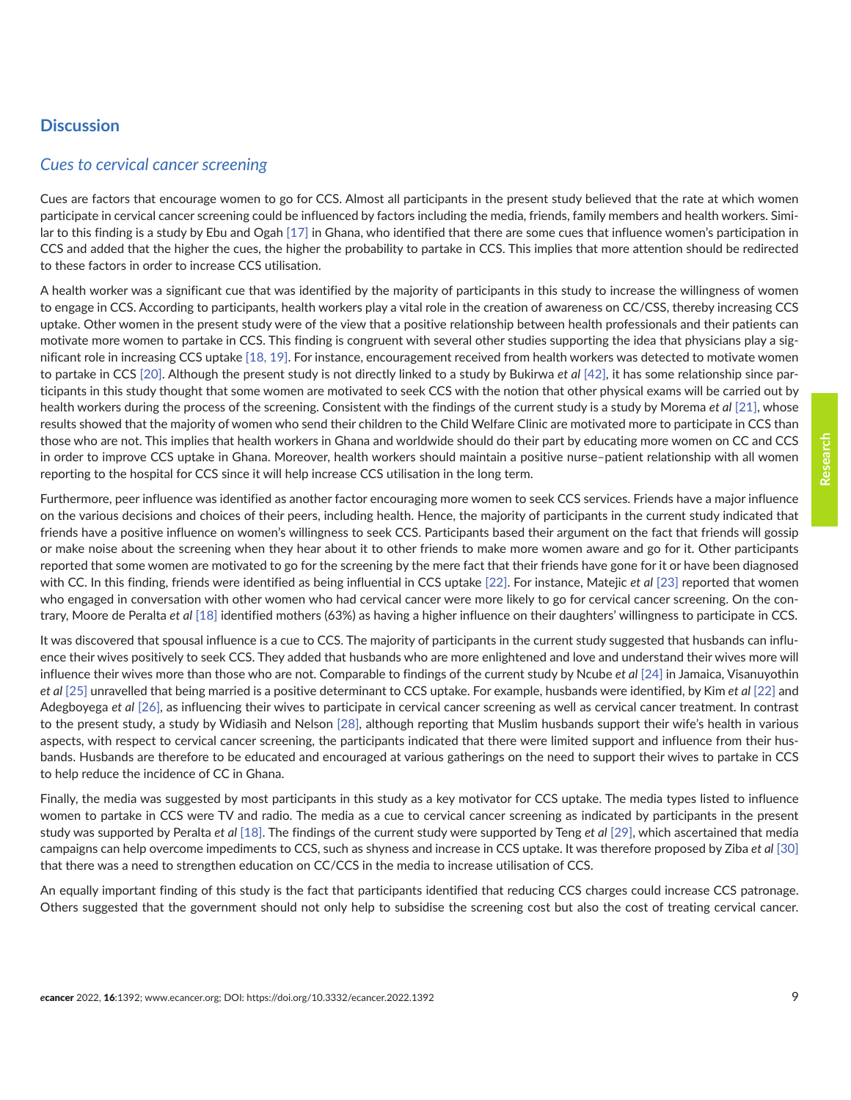# **Discussion**

#### *Cues to cervical cancer screening*

Cues are factors that encourage women to go for CCS. Almost all participants in the present study believed that the rate at which women participate in cervical cancer screening could be influenced by factors including the media, friends, family members and health workers. Similar to this finding is a study by Ebu and Ogah [\[17\]](#page-11-0) in Ghana, who identified that there are some cues that influence women's participation in CCS and added that the higher the cues, the higher the probability to partake in CCS. This implies that more attention should be redirected to these factors in order to increase CCS utilisation.

A health worker was a significant cue that was identified by the majority of participants in this study to increase the willingness of women to engage in CCS. According to participants, health workers play a vital role in the creation of awareness on CC/CSS, thereby increasing CCS uptake. Other women in the present study were of the view that a positive relationship between health professionals and their patients can motivate more women to partake in CCS. This finding is congruent with several other studies supporting the idea that physicians play a significant role in increasing CCS uptake [\[18, 19\]](#page-11-0). For instance, encouragement received from health workers was detected to motivate women to partake in CCS [\[20\].](#page-11-0) Although the present study is not directly linked to a study by Bukirwa *et al* [\[42\]](#page-12-0), it has some relationship since participants in this study thought that some women are motivated to seek CCS with the notion that other physical exams will be carried out by health workers during the process of the screening. Consistent with the findings of the current study is a study by Morema *et al* [\[21\],](#page-11-0) whose results showed that the majority of women who send their children to the Child Welfare Clinic are motivated more to participate in CCS than those who are not. This implies that health workers in Ghana and worldwide should do their part by educating more women on CC and CCS in order to improve CCS uptake in Ghana. Moreover, health workers should maintain a positive nurse–patient relationship with all women reporting to the hospital for CCS since it will help increase CCS utilisation in the long term.

Furthermore, peer influence was identified as another factor encouraging more women to seek CCS services. Friends have a major influence on the various decisions and choices of their peers, including health. Hence, the majority of participants in the current study indicated that friends have a positive influence on women's willingness to seek CCS. Participants based their argument on the fact that friends will gossip or make noise about the screening when they hear about it to other friends to make more women aware and go for it. Other participants reported that some women are motivated to go for the screening by the mere fact that their friends have gone for it or have been diagnosed with CC. In this finding, friends were identified as being influential in CCS uptake [\[22\]](#page-11-0). For instance, Matejic *et al* [\[23\]](#page-11-0) reported that women who engaged in conversation with other women who had cervical cancer were more likely to go for cervical cancer screening. On the contrary, Moore de Peralta *et al* [\[18\]](#page-11-0) identified mothers (63%) as having a higher influence on their daughters' willingness to participate in CCS.

It was discovered that spousal influence is a cue to CCS. The majority of participants in the current study suggested that husbands can influence their wives positively to seek CCS. They added that husbands who are more enlightened and love and understand their wives more will influence their wives more than those who are not. Comparable to findings of the current study by Ncube *et al* [\[24\]](#page-11-0) in Jamaica, Visanuyothin *et al* [\[25\]](#page-11-0) unravelled that being married is a positive determinant to CCS uptake. For example, husbands were identified, by Kim *et al* [\[22\]](#page-11-0) and Adegboyega *et al* [\[26\]](#page-11-0), as influencing their wives to participate in cervical cancer screening as well as cervical cancer treatment. In contrast to the present study, a study by Widiasih and Nelson [\[28\]](#page-12-0), although reporting that Muslim husbands support their wife's health in various aspects, with respect to cervical cancer screening, the participants indicated that there were limited support and influence from their husbands. Husbands are therefore to be educated and encouraged at various gatherings on the need to support their wives to partake in CCS to help reduce the incidence of CC in Ghana.

Finally, the media was suggested by most participants in this study as a key motivator for CCS uptake. The media types listed to influence women to partake in CCS were TV and radio. The media as a cue to cervical cancer screening as indicated by participants in the present study was supported by Peralta *et al* [\[18\].](#page-11-0) The findings of the current study were supported by Teng *et al* [\[29\]](#page-12-0), which ascertained that media campaigns can help overcome impediments to CCS, such as shyness and increase in CCS uptake. It was therefore proposed by Ziba *et al* [\[30\]](#page-12-0) that there was a need to strengthen education on CC/CCS in the media to increase utilisation of CCS.

An equally important finding of this study is the fact that participants identified that reducing CCS charges could increase CCS patronage. Others suggested that the government should not only help to subsidise the screening cost but also the cost of treating cervical cancer.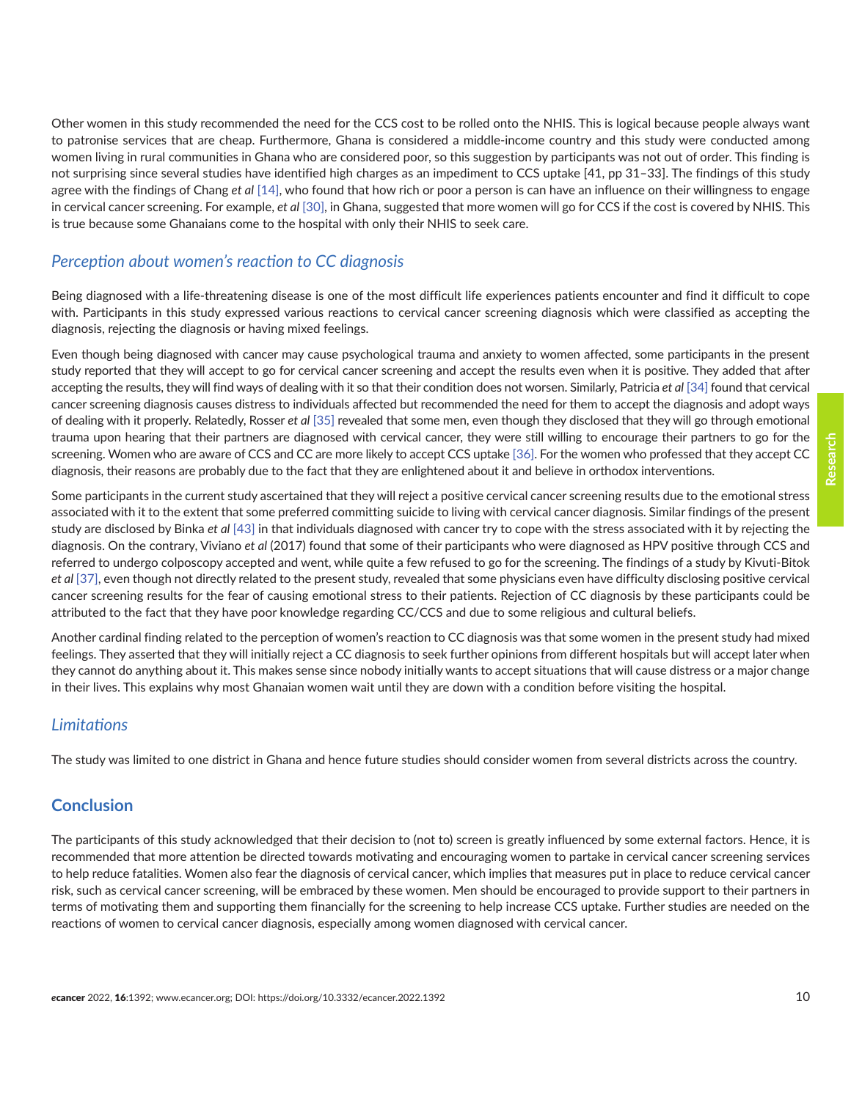Other women in this study recommended the need for the CCS cost to be rolled onto the NHIS. This is logical because people always want to patronise services that are cheap. Furthermore, Ghana is considered a middle-income country and this study were conducted among women living in rural communities in Ghana who are considered poor, so this suggestion by participants was not out of order. This finding is not surprising since several studies have identified high charges as an impediment to CCS uptake [41, pp 31–33]. The findings of this study agree with the findings of Chang *et al* [\[14\]](#page-11-0), who found that how rich or poor a person is can have an influence on their willingness to engage in cervical cancer screening. For example, *et al* [\[30\],](#page-12-0) in Ghana, suggested that more women will go for CCS if the cost is covered by NHIS. This is true because some Ghanaians come to the hospital with only their NHIS to seek care.

# *Perception about women's reaction to CC diagnosis*

Being diagnosed with a life-threatening disease is one of the most difficult life experiences patients encounter and find it difficult to cope with. Participants in this study expressed various reactions to cervical cancer screening diagnosis which were classified as accepting the diagnosis, rejecting the diagnosis or having mixed feelings.

Even though being diagnosed with cancer may cause psychological trauma and anxiety to women affected, some participants in the present study reported that they will accept to go for cervical cancer screening and accept the results even when it is positive. They added that after accepting the results, they will find ways of dealing with it so that their condition does not worsen. Similarly, Patricia *et al* [\[34\]](#page-12-0) found that cervical cancer screening diagnosis causes distress to individuals affected but recommended the need for them to accept the diagnosis and adopt ways of dealing with it properly. Relatedly, Rosser *et al* [\[35\]](#page-12-0) revealed that some men, even though they disclosed that they will go through emotional trauma upon hearing that their partners are diagnosed with cervical cancer, they were still willing to encourage their partners to go for the screening. Women who are aware of CCS and CC are more likely to accept CCS uptake [\[36\].](#page-12-0) For the women who professed that they accept CC diagnosis, their reasons are probably due to the fact that they are enlightened about it and believe in orthodox interventions.

Some participants in the current study ascertained that they will reject a positive cervical cancer screening results due to the emotional stress associated with it to the extent that some preferred committing suicide to living with cervical cancer diagnosis. Similar findings of the present study are disclosed by Binka *et al* [\[43\]](#page-12-0) in that individuals diagnosed with cancer try to cope with the stress associated with it by rejecting the diagnosis. On the contrary, Viviano *et al* (2017) found that some of their participants who were diagnosed as HPV positive through CCS and referred to undergo colposcopy accepted and went, while quite a few refused to go for the screening. The findings of a study by Kivuti-Bitok *et al* [\[37\],](#page-12-0) even though not directly related to the present study, revealed that some physicians even have difficulty disclosing positive cervical cancer screening results for the fear of causing emotional stress to their patients. Rejection of CC diagnosis by these participants could be attributed to the fact that they have poor knowledge regarding CC/CCS and due to some religious and cultural beliefs.

Another cardinal finding related to the perception of women's reaction to CC diagnosis was that some women in the present study had mixed feelings. They asserted that they will initially reject a CC diagnosis to seek further opinions from different hospitals but will accept later when they cannot do anything about it. This makes sense since nobody initially wants to accept situations that will cause distress or a major change in their lives. This explains why most Ghanaian women wait until they are down with a condition before visiting the hospital.

# *Limitations*

The study was limited to one district in Ghana and hence future studies should consider women from several districts across the country.

# **Conclusion**

The participants of this study acknowledged that their decision to (not to) screen is greatly influenced by some external factors. Hence, it is recommended that more attention be directed towards motivating and encouraging women to partake in cervical cancer screening services to help reduce fatalities. Women also fear the diagnosis of cervical cancer, which implies that measures put in place to reduce cervical cancer risk, such as cervical cancer screening, will be embraced by these women. Men should be encouraged to provide support to their partners in terms of motivating them and supporting them financially for the screening to help increase CCS uptake. Further studies are needed on the reactions of women to cervical cancer diagnosis, especially among women diagnosed with cervical cancer.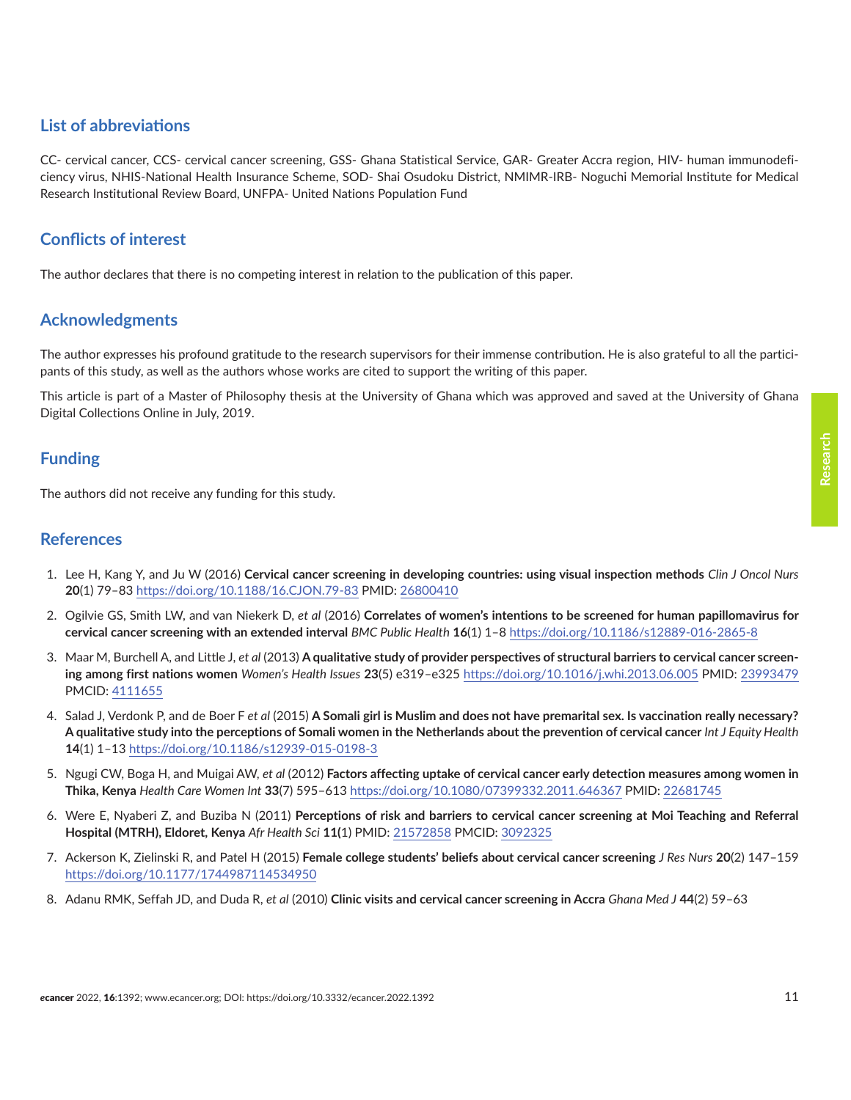# <span id="page-10-0"></span>**List of abbreviations**

CC- cervical cancer, CCS- cervical cancer screening, GSS- Ghana Statistical Service, GAR- Greater Accra region, HIV- human immunodeficiency virus, NHIS-National Health Insurance Scheme, SOD- Shai Osudoku District, NMIMR-IRB- Noguchi Memorial Institute for Medical Research Institutional Review Board, UNFPA- United Nations Population Fund

# **Conflicts of interest**

The author declares that there is no competing interest in relation to the publication of this paper.

# **Acknowledgments**

The author expresses his profound gratitude to the research supervisors for their immense contribution. He is also grateful to all the participants of this study, as well as the authors whose works are cited to support the writing of this paper.

This article is part of a Master of Philosophy thesis at the University of Ghana which was approved and saved at the University of Ghana Digital Collections Online in July, 2019.

# **Funding**

The authors did not receive any funding for this study.

#### **References**

- 1. Lee H, Kang Y, and Ju W (2016) **Cervical cancer screening in developing countries: using visual inspection methods** *Clin J Oncol Nurs* **20**(1) 79–83<https://doi.org/10.1188/16.CJON.79-83> PMID: [26800410](http://www.ncbi.nlm.nih.gov/pubmed/26800410)
- 2. Ogilvie GS, Smith LW, and van Niekerk D, *et al* (2016) **Correlates of women's intentions to be screened for human papillomavirus for cervical cancer screening with an extended interval** *BMC Public Health* **16**(1) 1–8 <https://doi.org/10.1186/s12889-016-2865-8>
- 3. Maar M, Burchell A, and Little J, *et al* (2013) **A qualitative study of provider perspectives of structural barriers to cervical cancer screening among first nations women** *Women's Health Issues* **23**(5) e319–e325 <https://doi.org/10.1016/j.whi.2013.06.005>PMID: [23993479](http://www.ncbi.nlm.nih.gov/pubmed/23993479) PMCID: [4111655](http://www.ncbi.nlm.nih.gov/pmc/articles/PMC4111655)
- 4. Salad J, Verdonk P, and de Boer F *et al* (2015) **A Somali girl is Muslim and does not have premarital sex. Is vaccination really necessary? A qualitative study into the perceptions of Somali women in the Netherlands about the prevention of cervical cancer** *Int J Equity Health* **14**(1) 1–13 <https://doi.org/10.1186/s12939-015-0198-3>
- 5. Ngugi CW, Boga H, and Muigai AW, *et al* (2012) **Factors affecting uptake of cervical cancer early detection measures among women in Thika, Kenya** *Health Care Women Int* **33**(7) 595–613<https://doi.org/10.1080/07399332.2011.646367>PMID: [22681745](http://www.ncbi.nlm.nih.gov/pubmed/22681745)
- 6. Were E, Nyaberi Z, and Buziba N (2011) **Perceptions of risk and barriers to cervical cancer screening at Moi Teaching and Referral Hospital (MTRH), Eldoret, Kenya** *Afr Health Sci* **11(**1) PMID: [21572858](http://www.ncbi.nlm.nih.gov/pubmed/21572858) PMCID: [3092325](http://www.ncbi.nlm.nih.gov/pmc/articles/PMC3092325)
- 7. Ackerson K, Zielinski R, and Patel H (2015) **Female college students' beliefs about cervical cancer screening** *J Res Nurs* **20**(2) 147–159 <https://doi.org/10.1177/1744987114534950>
- 8. Adanu RMK, Seffah JD, and Duda R, *et al* (2010) **Clinic visits and cervical cancer screening in Accra** *Ghana Med J* **44**(2) 59–63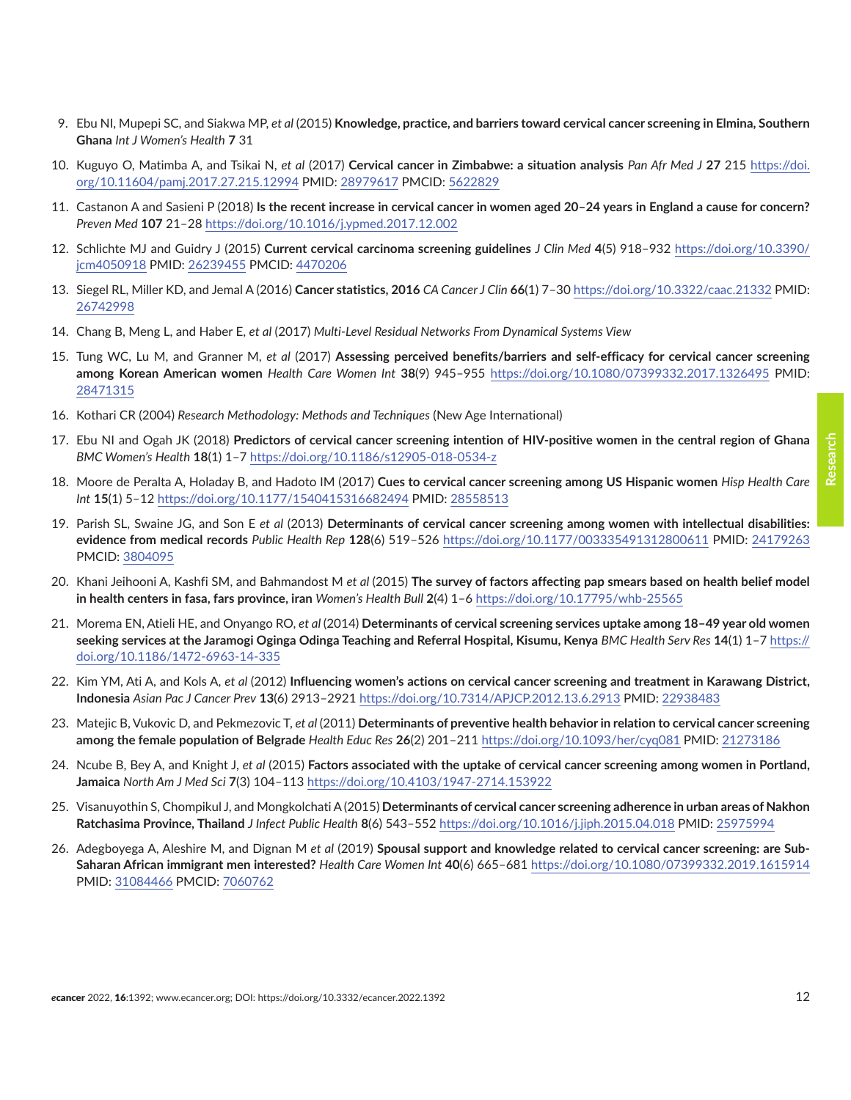- <span id="page-11-0"></span>9. Ebu NI, Mupepi SC, and Siakwa MP, *et al* (2015) **Knowledge, practice, and barriers toward cervical cancer screening in Elmina, Southern Ghana** *Int J Women's Health* **7** 31
- 10. Kuguyo O, Matimba A, and Tsikai N, *et al* (2017) **Cervical cancer in Zimbabwe: a situation analysis** *Pan Afr Med J* **27** 215 [https://doi.](https://doi.org/10.11604/pamj.2017.27.215.12994) [org/10.11604/pamj.2017.27.215.12994](https://doi.org/10.11604/pamj.2017.27.215.12994) PMID: [28979617](http://www.ncbi.nlm.nih.gov/pubmed/28979617) PMCID: [5622829](http://www.ncbi.nlm.nih.gov/pmc/articles/PMC5622829)
- 11. Castanon A and Sasieni P (2018) **Is the recent increase in cervical cancer in women aged 20–24 years in England a cause for concern?** *Preven Med* **107** 21–28 <https://doi.org/10.1016/j.ypmed.2017.12.002>
- 12. Schlichte MJ and Guidry J (2015) **Current cervical carcinoma screening guidelines** *J Clin Med* **4**(5) 918–932 [https://doi.org/10.3390/](https://doi.org/10.3390/jcm4050918) [jcm4050918](https://doi.org/10.3390/jcm4050918) PMID: [26239455](http://www.ncbi.nlm.nih.gov/pubmed/26239455) PMCID: [4470206](http://www.ncbi.nlm.nih.gov/pmc/articles/PMC4470206)
- 13. Siegel RL, Miller KD, and Jemal A (2016) **Cancer statistics, 2016** *CA Cancer J Clin* **66**(1) 7–30<https://doi.org/10.3322/caac.21332>PMID: [26742998](http://www.ncbi.nlm.nih.gov/pubmed/26742998)
- 14. Chang B, Meng L, and Haber E, *et al* (2017) *Multi-Level Residual Networks From Dynamical Systems View*
- 15. Tung WC, Lu M, and Granner M, *et al* (2017) **Assessing perceived benefits/barriers and self-efficacy for cervical cancer screening among Korean American women** *Health Care Women Int* **38**(9) 945–955 <https://doi.org/10.1080/07399332.2017.1326495>PMID: [28471315](http://www.ncbi.nlm.nih.gov/pubmed/28471315)
- 16. Kothari CR (2004) *Research Methodology: Methods and Techniques* (New Age International)
- 17. Ebu NI and Ogah JK (2018) **Predictors of cervical cancer screening intention of HIV-positive women in the central region of Ghana** *BMC Women's Health* **18**(1) 1–7 <https://doi.org/10.1186/s12905-018-0534-z>
- 18. Moore de Peralta A, Holaday B, and Hadoto IM (2017) **Cues to cervical cancer screening among US Hispanic women** *Hisp Health Care Int* **15**(1) 5–12 <https://doi.org/10.1177/1540415316682494> PMID: [28558513](http://www.ncbi.nlm.nih.gov/pubmed/28558513)
- 19. Parish SL, Swaine JG, and Son E *et al* (2013) **Determinants of cervical cancer screening among women with intellectual disabilities: evidence from medical records** *Public Health Rep* **128**(6) 519–526 <https://doi.org/10.1177/003335491312800611> PMID: [24179263](http://www.ncbi.nlm.nih.gov/pubmed/24179263) PMCID: [3804095](http://www.ncbi.nlm.nih.gov/pmc/articles/PMC3804095)
- 20. Khani Jeihooni A, Kashfi SM, and Bahmandost M *et al* (2015) **The survey of factors affecting pap smears based on health belief model in health centers in fasa, fars province, iran** *Women's Health Bull* **2**(4) 1–6 <https://doi.org/10.17795/whb-25565>
- 21. Morema EN, Atieli HE, and Onyango RO, *et al* (2014) **Determinants of cervical screening services uptake among 18–49 year old women seeking services at the Jaramogi Oginga Odinga Teaching and Referral Hospital, Kisumu, Kenya** *BMC Health Serv Res* **14**(1) 1–7 [https://](https://doi.org/10.1186/1472-6963-14-335) [doi.org/10.1186/1472-6963-14-335](https://doi.org/10.1186/1472-6963-14-335)
- 22. Kim YM, Ati A, and Kols A, *et al* (2012) **Influencing women's actions on cervical cancer screening and treatment in Karawang District, Indonesia** *Asian Pac J Cancer Prev* **13**(6) 2913–2921 <https://doi.org/10.7314/APJCP.2012.13.6.2913>PMID: [22938483](http://www.ncbi.nlm.nih.gov/pubmed/22938483)
- 23. Matejic B, Vukovic D, and Pekmezovic T, *et al* (2011) **Determinants of preventive health behavior in relation to cervical cancer screening among the female population of Belgrade** *Health Educ Res* **26**(2) 201–211 <https://doi.org/10.1093/her/cyq081>PMID: [21273186](http://www.ncbi.nlm.nih.gov/pubmed/21273186)
- 24. Ncube B, Bey A, and Knight J, *et al* (2015) **Factors associated with the uptake of cervical cancer screening among women in Portland, Jamaica** *North Am J Med Sci* **7**(3) 104–113<https://doi.org/10.4103/1947-2714.153922>
- 25. Visanuyothin S, Chompikul J, and Mongkolchati A (2015) **Determinants of cervical cancer screening adherence in urban areas of Nakhon Ratchasima Province, Thailand** *J Infect Public Health* **8**(6) 543–552<https://doi.org/10.1016/j.jiph.2015.04.018>PMID: [25975994](http://www.ncbi.nlm.nih.gov/pubmed/25975994)
- 26. Adegboyega A, Aleshire M, and Dignan M *et al* (2019) **Spousal support and knowledge related to cervical cancer screening: are Sub-Saharan African immigrant men interested?** *Health Care Women Int* **40**(6) 665–681<https://doi.org/10.1080/07399332.2019.1615914> PMID: [31084466](http://www.ncbi.nlm.nih.gov/pubmed/31084466) PMCID: [7060762](http://www.ncbi.nlm.nih.gov/pmc/articles/PMC7060762)

**Research**